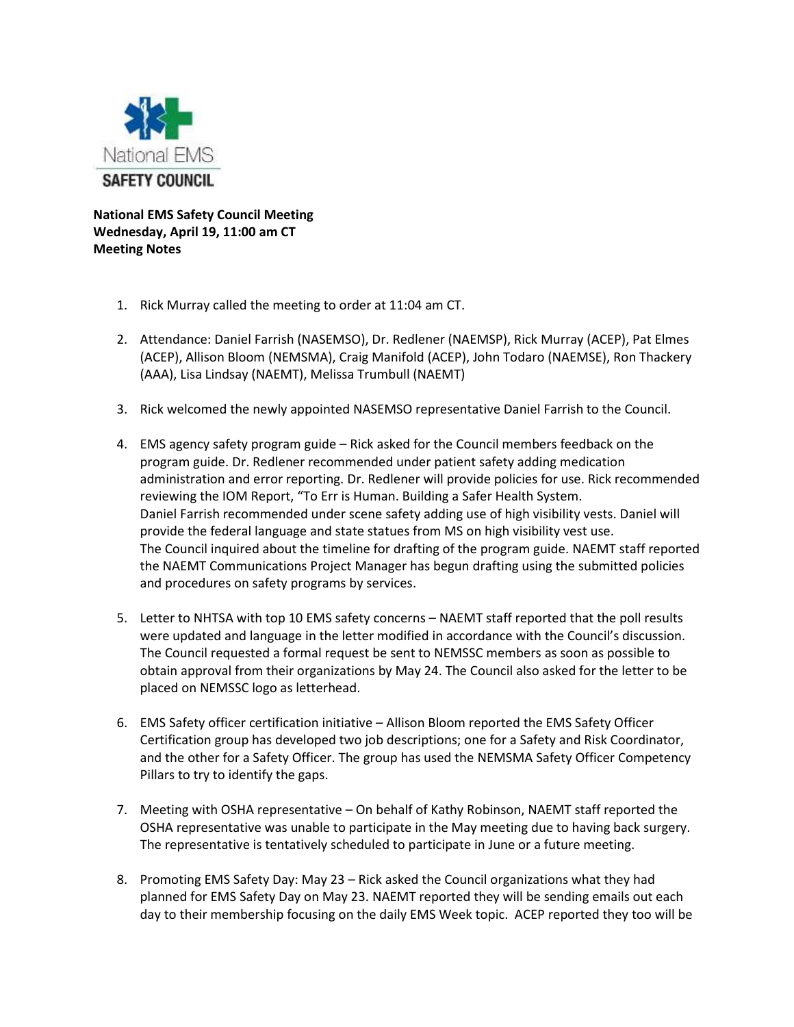

**National EMS Safety Council Meeting Wednesday, April 19, 11:00 am CT Meeting Notes**

- 1. Rick Murray called the meeting to order at 11:04 am CT.
- 2. Attendance: Daniel Farrish (NASEMSO), Dr. Redlener (NAEMSP), Rick Murray (ACEP), Pat Elmes (ACEP), Allison Bloom (NEMSMA), Craig Manifold (ACEP), John Todaro (NAEMSE), Ron Thackery (AAA), Lisa Lindsay (NAEMT), Melissa Trumbull (NAEMT)
- 3. Rick welcomed the newly appointed NASEMSO representative Daniel Farrish to the Council.
- 4. EMS agency safety program guide Rick asked for the Council members feedback on the program guide. Dr. Redlener recommended under patient safety adding medication administration and error reporting. Dr. Redlener will provide policies for use. Rick recommended reviewing the IOM Report, "To Err is Human. Building a Safer Health System. Daniel Farrish recommended under scene safety adding use of high visibility vests. Daniel will provide the federal language and state statues from MS on high visibility vest use. The Council inquired about the timeline for drafting of the program guide. NAEMT staff reported the NAEMT Communications Project Manager has begun drafting using the submitted policies and procedures on safety programs by services.
- 5. Letter to NHTSA with top 10 EMS safety concerns NAEMT staff reported that the poll results were updated and language in the letter modified in accordance with the Council's discussion. The Council requested a formal request be sent to NEMSSC members as soon as possible to obtain approval from their organizations by May 24. The Council also asked for the letter to be placed on NEMSSC logo as letterhead.
- 6. EMS Safety officer certification initiative Allison Bloom reported the EMS Safety Officer Certification group has developed two job descriptions; one for a Safety and Risk Coordinator, and the other for a Safety Officer. The group has used the NEMSMA Safety Officer Competency Pillars to try to identify the gaps.
- 7. Meeting with OSHA representative On behalf of Kathy Robinson, NAEMT staff reported the OSHA representative was unable to participate in the May meeting due to having back surgery. The representative is tentatively scheduled to participate in June or a future meeting.
- 8. Promoting EMS Safety Day: May 23 Rick asked the Council organizations what they had planned for EMS Safety Day on May 23. NAEMT reported they will be sending emails out each day to their membership focusing on the daily EMS Week topic. ACEP reported they too will be